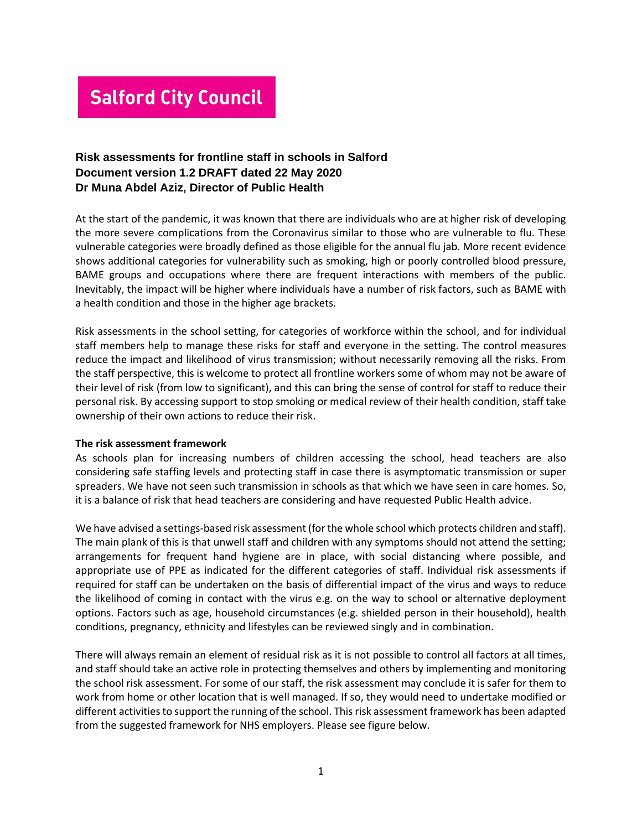# **Salford City Council**

## **Risk assessments for frontline staff in schools in Salford Document version 1.2 DRAFT dated 22 May 2020 Dr Muna Abdel Aziz, Director of Public Health**

At the start of the pandemic, it was known that there are individuals who are at higher risk of developing the more severe complications from the Coronavirus similar to those who are vulnerable to flu. These vulnerable categories were broadly defined as those eligible for the annual flu jab. More recent evidence shows additional categories for vulnerability such as smoking, high or poorly controlled blood pressure, BAME groups and occupations where there are frequent interactions with members of the public. Inevitably, the impact will be higher where individuals have a number of risk factors, such as BAME with a health condition and those in the higher age brackets.

Risk assessments in the school setting, for categories of workforce within the school, and for individual staff members help to manage these risks for staff and everyone in the setting. The control measures reduce the impact and likelihood of virus transmission; without necessarily removing all the risks. From the staff perspective, this is welcome to protect all frontline workers some of whom may not be aware of their level of risk (from low to significant), and this can bring the sense of control for staff to reduce their personal risk. By accessing support to stop smoking or medical review of their health condition, staff take ownership of their own actions to reduce their risk.

#### **The risk assessment framework**

As schools plan for increasing numbers of children accessing the school, head teachers are also considering safe staffing levels and protecting staff in case there is asymptomatic transmission or super spreaders. We have not seen such transmission in schools as that which we have seen in care homes. So, it is a balance of risk that head teachers are considering and have requested Public Health advice.

We have advised a settings-based risk assessment (for the whole school which protects children and staff). The main plank of this is that unwell staff and children with any symptoms should not attend the setting; arrangements for frequent hand hygiene are in place, with social distancing where possible, and appropriate use of PPE as indicated for the different categories of staff. Individual risk assessments if required for staff can be undertaken on the basis of differential impact of the virus and ways to reduce the likelihood of coming in contact with the virus e.g. on the way to school or alternative deployment options. Factors such as age, household circumstances (e.g. shielded person in their household), health conditions, pregnancy, ethnicity and lifestyles can be reviewed singly and in combination.

There will always remain an element of residual risk as it is not possible to control all factors at all times, and staff should take an active role in protecting themselves and others by implementing and monitoring the school risk assessment. For some of our staff, the risk assessment may conclude it is safer for them to work from home or other location that is well managed. If so, they would need to undertake modified or different activities to support the running of the school. This risk assessment framework has been adapted from the suggested framework for NHS employers. Please see figure below.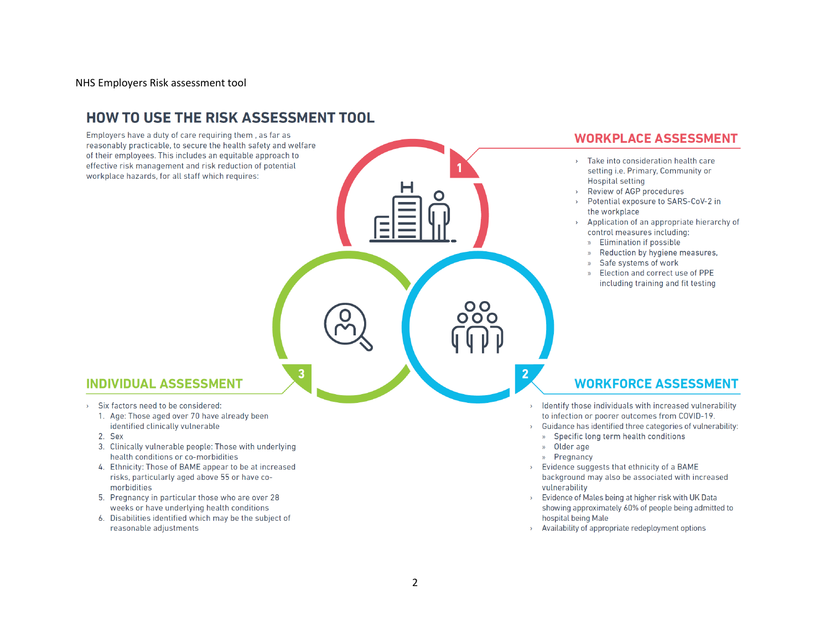NHS Employers Risk assessment tool

# **HOW TO USE THE RISK ASSESSMENT TOOL**

Employers have a duty of care requiring them, as far as reasonably practicable, to secure the health safety and welfare of their employees. This includes an equitable approach to effective risk management and risk reduction of potential workplace hazards, for all staff which requires:

### **WORKPLACE ASSESSMENT**

- > Take into consideration health care setting i.e. Primary, Community or **Hospital setting**
- Review of AGP procedures  $\mathbf{y}$
- Potential exposure to SARS-CoV-2 in  $\mathbf{v}$ the workplace
- Application of an appropriate hierarchy of  $\mathbf{v}$ control measures including:
	- » Elimination if possible
	- Reduction by hygiene measures,  $\mathbf{v}$
	- » Safe systems of work
	- Election and correct use of PPE including training and fit testing

### **INDIVIDUAL ASSESSMENT**

- > Six factors need to be considered:
	- 1. Age: Those aged over 70 have already been identified clinically vulnerable
	- 2. Sex
	- 3. Clinically vulnerable people: Those with underlying health conditions or co-morbidities
	- 4. Ethnicity: Those of BAME appear to be at increased risks, particularly aged above 55 or have comorbidities
	- 5. Pregnancy in particular those who are over 28 weeks or have underlying health conditions
	- 6. Disabilities identified which may be the subject of reasonable adjustments

### **WORKFORCE ASSESSMENT**

- Identify those individuals with increased vulnerability to infection or poorer outcomes from COVID-19.
- Guidance has identified three categories of vulnerability:
- » Specific long term health conditions
- » Older age
- Pregnancy  $\mathbf{v}$
- > Evidence suggests that ethnicity of a BAME background may also be associated with increased vulnerability
- Evidence of Males being at higher risk with UK Data showing approximately 60% of people being admitted to hospital being Male
- Availability of appropriate redeployment options

O O  $000$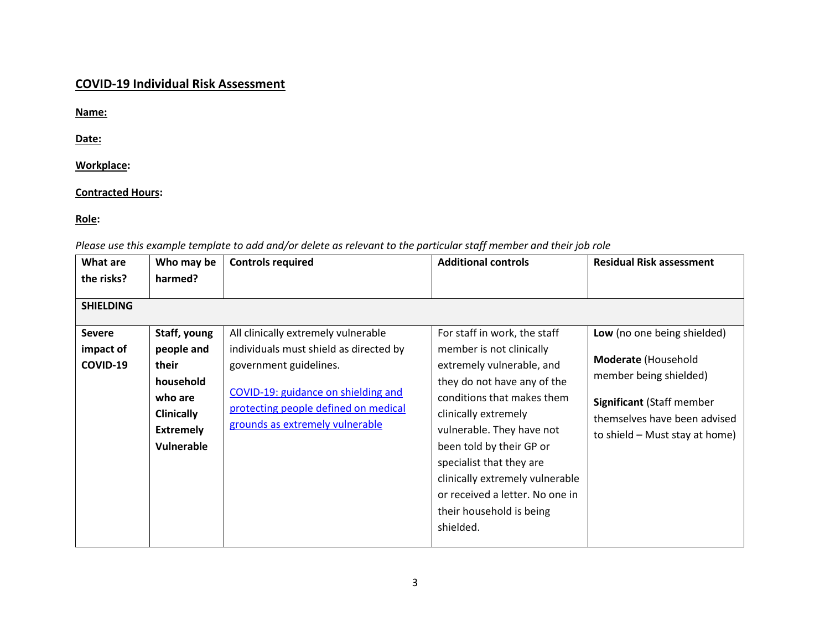# **COVID-19 Individual Risk Assessment**

**Name:**

**Date:**

### **Workplace:**

### **Contracted Hours:**

### **Role:**

*Please use this example template to add and/or delete as relevant to the particular staff member and their job role*

| What are<br>the risks?                                     | Who may be<br>harmed?                                                                                                                                                                                                                                                      | <b>Controls required</b>                                                                                                                                                   | <b>Additional controls</b>                                                                                                                                                                       | <b>Residual Risk assessment</b> |
|------------------------------------------------------------|----------------------------------------------------------------------------------------------------------------------------------------------------------------------------------------------------------------------------------------------------------------------------|----------------------------------------------------------------------------------------------------------------------------------------------------------------------------|--------------------------------------------------------------------------------------------------------------------------------------------------------------------------------------------------|---------------------------------|
| <b>SHIELDING</b><br><b>Severe</b><br>impact of<br>COVID-19 | Staff, young<br>All clinically extremely vulnerable<br>people and<br>individuals must shield as directed by<br>their<br>government guidelines.<br>household<br>COVID-19: guidance on shielding and<br>who are<br>protecting people defined on medical<br><b>Clinically</b> | For staff in work, the staff<br>member is not clinically<br>extremely vulnerable, and<br>they do not have any of the<br>conditions that makes them<br>clinically extremely | Low (no one being shielded)<br>Moderate (Household<br>member being shielded)<br><b>Significant (Staff member</b><br>themselves have been advised                                                 |                                 |
|                                                            | <b>Extremely</b><br>Vulnerable                                                                                                                                                                                                                                             | grounds as extremely vulnerable                                                                                                                                            | vulnerable. They have not<br>been told by their GP or<br>specialist that they are<br>clinically extremely vulnerable<br>or received a letter. No one in<br>their household is being<br>shielded. | to shield – Must stay at home)  |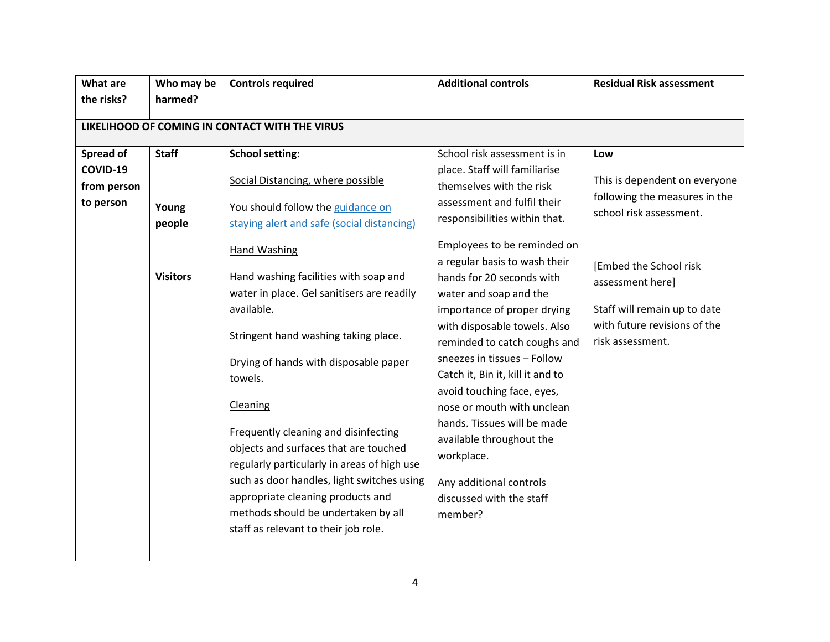| <b>What are</b>                                    | Who may be                                                           | <b>Controls required</b>                                                 | <b>Additional controls</b>                                     | <b>Residual Risk assessment</b> |  |  |  |
|----------------------------------------------------|----------------------------------------------------------------------|--------------------------------------------------------------------------|----------------------------------------------------------------|---------------------------------|--|--|--|
| the risks?                                         | harmed?                                                              |                                                                          |                                                                |                                 |  |  |  |
|                                                    | LIKELIHOOD OF COMING IN CONTACT WITH THE VIRUS                       |                                                                          |                                                                |                                 |  |  |  |
|                                                    |                                                                      |                                                                          |                                                                |                                 |  |  |  |
| Spread of                                          | <b>Staff</b>                                                         | <b>School setting:</b>                                                   | School risk assessment is in                                   | Low                             |  |  |  |
| COVID-19                                           |                                                                      | Social Distancing, where possible                                        | place. Staff will familiarise                                  | This is dependent on everyone   |  |  |  |
| from person                                        |                                                                      |                                                                          | themselves with the risk                                       | following the measures in the   |  |  |  |
| to person                                          | Young                                                                | You should follow the guidance on                                        | assessment and fulfil their                                    | school risk assessment.         |  |  |  |
|                                                    | people                                                               | staying alert and safe (social distancing)                               | responsibilities within that.                                  |                                 |  |  |  |
|                                                    |                                                                      | <b>Hand Washing</b>                                                      | Employees to be reminded on                                    |                                 |  |  |  |
|                                                    |                                                                      |                                                                          | a regular basis to wash their                                  | [Embed the School risk          |  |  |  |
|                                                    | <b>Visitors</b>                                                      | Hand washing facilities with soap and                                    | hands for 20 seconds with                                      | assessment here]                |  |  |  |
|                                                    | water in place. Gel sanitisers are readily<br>water and soap and the |                                                                          |                                                                |                                 |  |  |  |
| available.<br>Stringent hand washing taking place. | importance of proper drying                                          | Staff will remain up to date                                             |                                                                |                                 |  |  |  |
|                                                    |                                                                      |                                                                          | with disposable towels. Also                                   | with future revisions of the    |  |  |  |
|                                                    |                                                                      |                                                                          | reminded to catch coughs and                                   | risk assessment.                |  |  |  |
|                                                    | Drying of hands with disposable paper                                |                                                                          | sneezes in tissues - Follow                                    |                                 |  |  |  |
|                                                    |                                                                      | towels.                                                                  | Catch it, Bin it, kill it and to<br>avoid touching face, eyes, |                                 |  |  |  |
|                                                    |                                                                      | Cleaning                                                                 | nose or mouth with unclean                                     |                                 |  |  |  |
|                                                    |                                                                      |                                                                          | hands. Tissues will be made                                    |                                 |  |  |  |
|                                                    |                                                                      | Frequently cleaning and disinfecting<br>available throughout the         |                                                                |                                 |  |  |  |
|                                                    | objects and surfaces that are touched<br>workplace.                  |                                                                          |                                                                |                                 |  |  |  |
|                                                    |                                                                      | regularly particularly in areas of high use                              |                                                                |                                 |  |  |  |
|                                                    |                                                                      | such as door handles, light switches using                               | Any additional controls                                        |                                 |  |  |  |
|                                                    |                                                                      | appropriate cleaning products and<br>methods should be undertaken by all | discussed with the staff                                       |                                 |  |  |  |
|                                                    |                                                                      | staff as relevant to their job role.                                     | member?                                                        |                                 |  |  |  |
|                                                    |                                                                      |                                                                          |                                                                |                                 |  |  |  |
|                                                    |                                                                      |                                                                          |                                                                |                                 |  |  |  |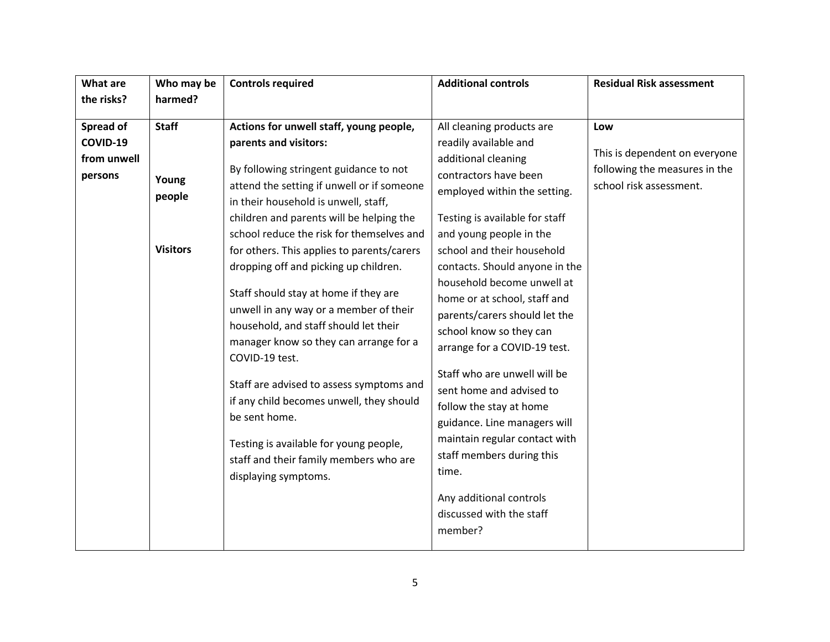| the risks?<br>harmed?<br><b>Staff</b><br>Actions for unwell staff, young people,<br>Spread of<br>All cleaning products are<br>Low<br>COVID-19<br>parents and visitors:<br>readily available and<br>additional cleaning<br>from unwell<br>By following stringent guidance to not<br>contractors have been<br>persons<br>Young<br>school risk assessment.<br>attend the setting if unwell or if someone<br>employed within the setting.<br>people<br>in their household is unwell, staff,<br>children and parents will be helping the<br>Testing is available for staff<br>school reduce the risk for themselves and<br>and young people in the<br><b>Visitors</b><br>for others. This applies to parents/carers<br>school and their household<br>contacts. Should anyone in the<br>dropping off and picking up children.<br>household become unwell at<br>Staff should stay at home if they are<br>home or at school, staff and<br>unwell in any way or a member of their<br>parents/carers should let the<br>household, and staff should let their | <b>Residual Risk assessment</b>                                |
|----------------------------------------------------------------------------------------------------------------------------------------------------------------------------------------------------------------------------------------------------------------------------------------------------------------------------------------------------------------------------------------------------------------------------------------------------------------------------------------------------------------------------------------------------------------------------------------------------------------------------------------------------------------------------------------------------------------------------------------------------------------------------------------------------------------------------------------------------------------------------------------------------------------------------------------------------------------------------------------------------------------------------------------------------|----------------------------------------------------------------|
|                                                                                                                                                                                                                                                                                                                                                                                                                                                                                                                                                                                                                                                                                                                                                                                                                                                                                                                                                                                                                                                    |                                                                |
| school know so they can<br>manager know so they can arrange for a<br>arrange for a COVID-19 test.<br>COVID-19 test.<br>Staff who are unwell will be<br>Staff are advised to assess symptoms and<br>sent home and advised to<br>if any child becomes unwell, they should<br>follow the stay at home<br>be sent home.<br>guidance. Line managers will<br>maintain regular contact with<br>Testing is available for young people,<br>staff members during this<br>staff and their family members who are<br>time.<br>displaying symptoms.<br>Any additional controls<br>discussed with the staff                                                                                                                                                                                                                                                                                                                                                                                                                                                      | This is dependent on everyone<br>following the measures in the |
| member?                                                                                                                                                                                                                                                                                                                                                                                                                                                                                                                                                                                                                                                                                                                                                                                                                                                                                                                                                                                                                                            |                                                                |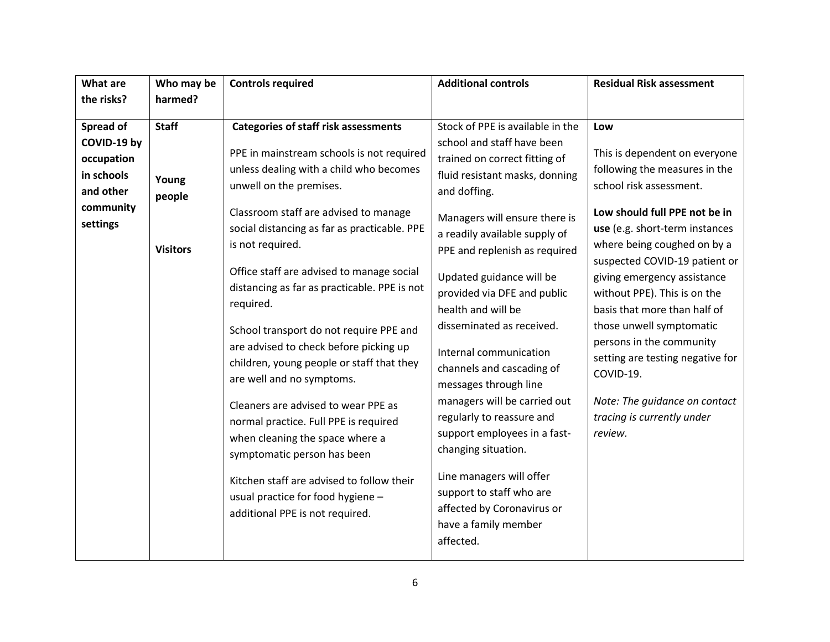| <b>What are</b>                                                                                   | Who may be<br>harmed?                              | <b>Controls required</b>                                                                                                                                                                                                                                                                                                                                                                                                                                                                                                                                                                                                                                                                                                                                                                                                    | <b>Additional controls</b>                                                                                                                                                                                                                                                                                                                                                                                                                                                                                                                                                                                                                                                                        | <b>Residual Risk assessment</b>                                                                                                                                                                                                                                                                                                                                                                                                                                                                                       |
|---------------------------------------------------------------------------------------------------|----------------------------------------------------|-----------------------------------------------------------------------------------------------------------------------------------------------------------------------------------------------------------------------------------------------------------------------------------------------------------------------------------------------------------------------------------------------------------------------------------------------------------------------------------------------------------------------------------------------------------------------------------------------------------------------------------------------------------------------------------------------------------------------------------------------------------------------------------------------------------------------------|---------------------------------------------------------------------------------------------------------------------------------------------------------------------------------------------------------------------------------------------------------------------------------------------------------------------------------------------------------------------------------------------------------------------------------------------------------------------------------------------------------------------------------------------------------------------------------------------------------------------------------------------------------------------------------------------------|-----------------------------------------------------------------------------------------------------------------------------------------------------------------------------------------------------------------------------------------------------------------------------------------------------------------------------------------------------------------------------------------------------------------------------------------------------------------------------------------------------------------------|
| the risks?                                                                                        |                                                    |                                                                                                                                                                                                                                                                                                                                                                                                                                                                                                                                                                                                                                                                                                                                                                                                                             |                                                                                                                                                                                                                                                                                                                                                                                                                                                                                                                                                                                                                                                                                                   |                                                                                                                                                                                                                                                                                                                                                                                                                                                                                                                       |
| <b>Spread of</b><br>COVID-19 by<br>occupation<br>in schools<br>and other<br>community<br>settings | <b>Staff</b><br>Young<br>people<br><b>Visitors</b> | <b>Categories of staff risk assessments</b><br>PPE in mainstream schools is not required<br>unless dealing with a child who becomes<br>unwell on the premises.<br>Classroom staff are advised to manage<br>social distancing as far as practicable. PPE<br>is not required.<br>Office staff are advised to manage social<br>distancing as far as practicable. PPE is not<br>required.<br>School transport do not require PPE and<br>are advised to check before picking up<br>children, young people or staff that they<br>are well and no symptoms.<br>Cleaners are advised to wear PPE as<br>normal practice. Full PPE is required<br>when cleaning the space where a<br>symptomatic person has been<br>Kitchen staff are advised to follow their<br>usual practice for food hygiene -<br>additional PPE is not required. | Stock of PPE is available in the<br>school and staff have been<br>trained on correct fitting of<br>fluid resistant masks, donning<br>and doffing.<br>Managers will ensure there is<br>a readily available supply of<br>PPE and replenish as required<br>Updated guidance will be<br>provided via DFE and public<br>health and will be<br>disseminated as received.<br>Internal communication<br>channels and cascading of<br>messages through line<br>managers will be carried out<br>regularly to reassure and<br>support employees in a fast-<br>changing situation.<br>Line managers will offer<br>support to staff who are<br>affected by Coronavirus or<br>have a family member<br>affected. | Low<br>This is dependent on everyone<br>following the measures in the<br>school risk assessment.<br>Low should full PPE not be in<br>use (e.g. short-term instances<br>where being coughed on by a<br>suspected COVID-19 patient or<br>giving emergency assistance<br>without PPE). This is on the<br>basis that more than half of<br>those unwell symptomatic<br>persons in the community<br>setting are testing negative for<br>COVID-19.<br>Note: The guidance on contact<br>tracing is currently under<br>review. |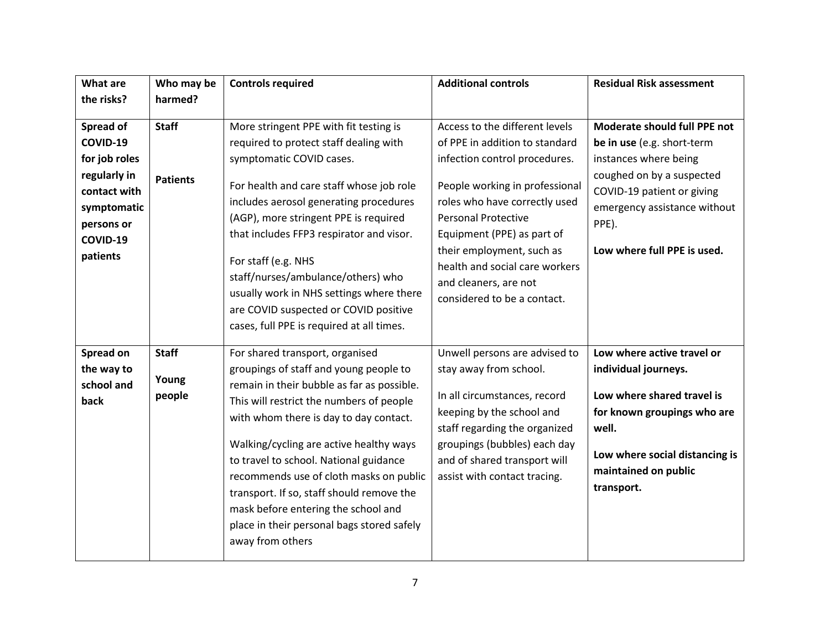| <b>What are</b>                                                                   | Who may be      | <b>Controls required</b>                                                                                                                                                                                                                                                                                                                                                                                                                                         | <b>Additional controls</b>                                                                                                                                                                                                                         | <b>Residual Risk assessment</b>                                                                                                                                    |
|-----------------------------------------------------------------------------------|-----------------|------------------------------------------------------------------------------------------------------------------------------------------------------------------------------------------------------------------------------------------------------------------------------------------------------------------------------------------------------------------------------------------------------------------------------------------------------------------|----------------------------------------------------------------------------------------------------------------------------------------------------------------------------------------------------------------------------------------------------|--------------------------------------------------------------------------------------------------------------------------------------------------------------------|
| the risks?                                                                        | harmed?         |                                                                                                                                                                                                                                                                                                                                                                                                                                                                  |                                                                                                                                                                                                                                                    |                                                                                                                                                                    |
| Spread of                                                                         | <b>Staff</b>    | More stringent PPE with fit testing is                                                                                                                                                                                                                                                                                                                                                                                                                           | Access to the different levels                                                                                                                                                                                                                     | Moderate should full PPE not                                                                                                                                       |
| COVID-19                                                                          |                 | required to protect staff dealing with                                                                                                                                                                                                                                                                                                                                                                                                                           | of PPE in addition to standard                                                                                                                                                                                                                     | be in use (e.g. short-term                                                                                                                                         |
| for job roles                                                                     |                 | symptomatic COVID cases.                                                                                                                                                                                                                                                                                                                                                                                                                                         | infection control procedures.                                                                                                                                                                                                                      | instances where being                                                                                                                                              |
| regularly in<br>contact with<br>symptomatic<br>persons or<br>COVID-19<br>patients | <b>Patients</b> | For health and care staff whose job role<br>includes aerosol generating procedures<br>(AGP), more stringent PPE is required<br>that includes FFP3 respirator and visor.<br>For staff (e.g. NHS<br>staff/nurses/ambulance/others) who<br>usually work in NHS settings where there<br>are COVID suspected or COVID positive<br>cases, full PPE is required at all times.                                                                                           | People working in professional<br>roles who have correctly used<br><b>Personal Protective</b><br>Equipment (PPE) as part of<br>their employment, such as<br>health and social care workers<br>and cleaners, are not<br>considered to be a contact. | coughed on by a suspected<br>COVID-19 patient or giving<br>emergency assistance without<br>PPE).<br>Low where full PPE is used.                                    |
| Spread on                                                                         | <b>Staff</b>    | For shared transport, organised                                                                                                                                                                                                                                                                                                                                                                                                                                  | Unwell persons are advised to                                                                                                                                                                                                                      | Low where active travel or                                                                                                                                         |
| the way to<br>school and<br>back                                                  | Young<br>people | groupings of staff and young people to<br>remain in their bubble as far as possible.<br>This will restrict the numbers of people<br>with whom there is day to day contact.<br>Walking/cycling are active healthy ways<br>to travel to school. National guidance<br>recommends use of cloth masks on public<br>transport. If so, staff should remove the<br>mask before entering the school and<br>place in their personal bags stored safely<br>away from others | stay away from school.<br>In all circumstances, record<br>keeping by the school and<br>staff regarding the organized<br>groupings (bubbles) each day<br>and of shared transport will<br>assist with contact tracing.                               | individual journeys.<br>Low where shared travel is<br>for known groupings who are<br>well.<br>Low where social distancing is<br>maintained on public<br>transport. |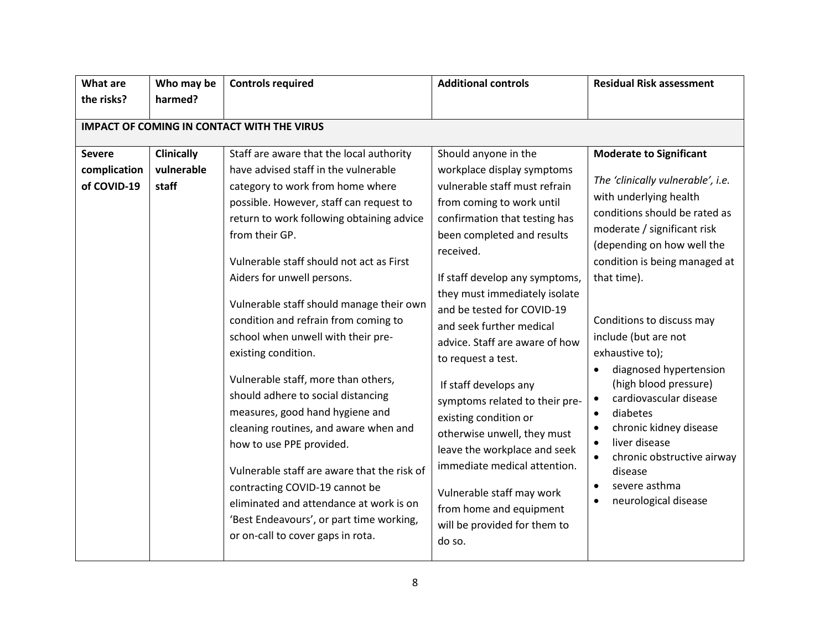| <b>What are</b>                              | Who may be                                        | <b>Controls required</b>                                                                                                                                                                                                                                                                                                                                                                                                                                                                                                                                                                                                                       | <b>Additional controls</b>                                                                                                                                                                                                                                                                                                                                                                                                                                                                                                           | <b>Residual Risk assessment</b>                                                                                                                                                                                                                                                                                                                                                                                                                                                                                              |  |  |  |  |
|----------------------------------------------|---------------------------------------------------|------------------------------------------------------------------------------------------------------------------------------------------------------------------------------------------------------------------------------------------------------------------------------------------------------------------------------------------------------------------------------------------------------------------------------------------------------------------------------------------------------------------------------------------------------------------------------------------------------------------------------------------------|--------------------------------------------------------------------------------------------------------------------------------------------------------------------------------------------------------------------------------------------------------------------------------------------------------------------------------------------------------------------------------------------------------------------------------------------------------------------------------------------------------------------------------------|------------------------------------------------------------------------------------------------------------------------------------------------------------------------------------------------------------------------------------------------------------------------------------------------------------------------------------------------------------------------------------------------------------------------------------------------------------------------------------------------------------------------------|--|--|--|--|
| the risks?                                   | harmed?                                           |                                                                                                                                                                                                                                                                                                                                                                                                                                                                                                                                                                                                                                                |                                                                                                                                                                                                                                                                                                                                                                                                                                                                                                                                      |                                                                                                                                                                                                                                                                                                                                                                                                                                                                                                                              |  |  |  |  |
|                                              | <b>IMPACT OF COMING IN CONTACT WITH THE VIRUS</b> |                                                                                                                                                                                                                                                                                                                                                                                                                                                                                                                                                                                                                                                |                                                                                                                                                                                                                                                                                                                                                                                                                                                                                                                                      |                                                                                                                                                                                                                                                                                                                                                                                                                                                                                                                              |  |  |  |  |
|                                              |                                                   |                                                                                                                                                                                                                                                                                                                                                                                                                                                                                                                                                                                                                                                |                                                                                                                                                                                                                                                                                                                                                                                                                                                                                                                                      |                                                                                                                                                                                                                                                                                                                                                                                                                                                                                                                              |  |  |  |  |
| <b>Severe</b><br>complication<br>of COVID-19 | <b>Clinically</b><br>vulnerable<br>staff          | Staff are aware that the local authority<br>have advised staff in the vulnerable<br>category to work from home where<br>possible. However, staff can request to<br>return to work following obtaining advice<br>from their GP.<br>Vulnerable staff should not act as First<br>Aiders for unwell persons.<br>Vulnerable staff should manage their own<br>condition and refrain from coming to<br>school when unwell with their pre-<br>existing condition.<br>Vulnerable staff, more than others,<br>should adhere to social distancing<br>measures, good hand hygiene and<br>cleaning routines, and aware when and<br>how to use PPE provided. | Should anyone in the<br>workplace display symptoms<br>vulnerable staff must refrain<br>from coming to work until<br>confirmation that testing has<br>been completed and results<br>received.<br>If staff develop any symptoms,<br>they must immediately isolate<br>and be tested for COVID-19<br>and seek further medical<br>advice. Staff are aware of how<br>to request a test.<br>If staff develops any<br>symptoms related to their pre-<br>existing condition or<br>otherwise unwell, they must<br>leave the workplace and seek | <b>Moderate to Significant</b><br>The 'clinically vulnerable', i.e.<br>with underlying health<br>conditions should be rated as<br>moderate / significant risk<br>(depending on how well the<br>condition is being managed at<br>that time).<br>Conditions to discuss may<br>include (but are not<br>exhaustive to);<br>diagnosed hypertension<br>(high blood pressure)<br>cardiovascular disease<br>$\bullet$<br>diabetes<br>$\bullet$<br>chronic kidney disease<br>liver disease<br>$\bullet$<br>chronic obstructive airway |  |  |  |  |
|                                              |                                                   | Vulnerable staff are aware that the risk of<br>contracting COVID-19 cannot be<br>eliminated and attendance at work is on<br>'Best Endeavours', or part time working,<br>or on-call to cover gaps in rota.                                                                                                                                                                                                                                                                                                                                                                                                                                      | immediate medical attention.<br>Vulnerable staff may work<br>from home and equipment<br>will be provided for them to<br>do so.                                                                                                                                                                                                                                                                                                                                                                                                       | disease<br>severe asthma<br>$\bullet$<br>neurological disease                                                                                                                                                                                                                                                                                                                                                                                                                                                                |  |  |  |  |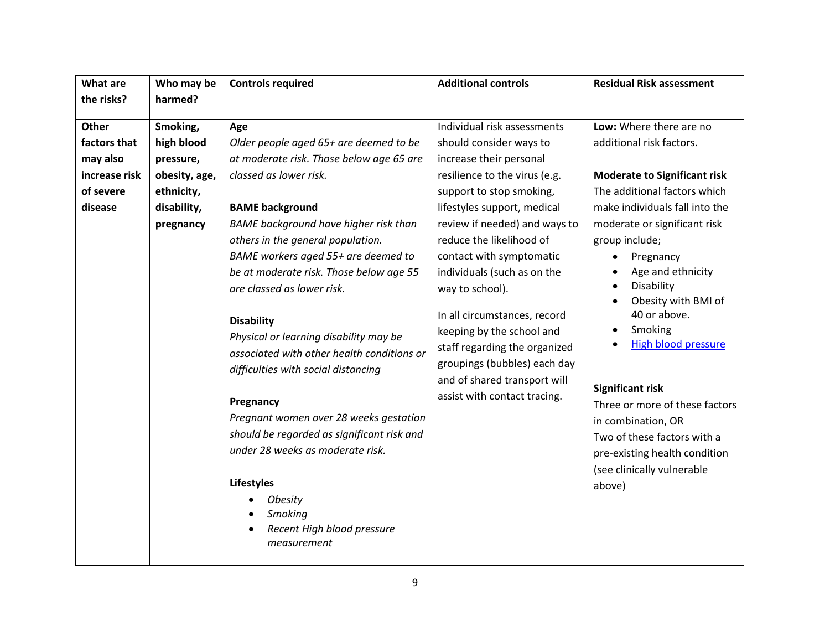| <b>What are</b>                                                                   | Who may be                                                                                     | <b>Additional controls</b><br><b>Controls required</b>                                                                                                                                                                                                                                                                                                                                                                                                                                                                                                                                                                                                                                                                                        |                                                                                                                                                                                                                                                                                                                                                                                                                                                                                                                        | <b>Residual Risk assessment</b>                                                                                                                                                                                                                                                                                                                                                                                                                                                                                                           |  |
|-----------------------------------------------------------------------------------|------------------------------------------------------------------------------------------------|-----------------------------------------------------------------------------------------------------------------------------------------------------------------------------------------------------------------------------------------------------------------------------------------------------------------------------------------------------------------------------------------------------------------------------------------------------------------------------------------------------------------------------------------------------------------------------------------------------------------------------------------------------------------------------------------------------------------------------------------------|------------------------------------------------------------------------------------------------------------------------------------------------------------------------------------------------------------------------------------------------------------------------------------------------------------------------------------------------------------------------------------------------------------------------------------------------------------------------------------------------------------------------|-------------------------------------------------------------------------------------------------------------------------------------------------------------------------------------------------------------------------------------------------------------------------------------------------------------------------------------------------------------------------------------------------------------------------------------------------------------------------------------------------------------------------------------------|--|
| the risks?                                                                        | harmed?                                                                                        |                                                                                                                                                                                                                                                                                                                                                                                                                                                                                                                                                                                                                                                                                                                                               |                                                                                                                                                                                                                                                                                                                                                                                                                                                                                                                        |                                                                                                                                                                                                                                                                                                                                                                                                                                                                                                                                           |  |
| <b>Other</b><br>factors that<br>may also<br>increase risk<br>of severe<br>disease | Smoking,<br>high blood<br>pressure,<br>obesity, age,<br>ethnicity,<br>disability,<br>pregnancy | Age<br>Older people aged 65+ are deemed to be<br>at moderate risk. Those below age 65 are<br>classed as lower risk.<br><b>BAME</b> background<br>BAME background have higher risk than<br>others in the general population.<br>BAME workers aged 55+ are deemed to<br>be at moderate risk. Those below age 55<br>are classed as lower risk.<br><b>Disability</b><br>Physical or learning disability may be<br>associated with other health conditions or<br>difficulties with social distancing<br>Pregnancy<br>Pregnant women over 28 weeks gestation<br>should be regarded as significant risk and<br>under 28 weeks as moderate risk.<br><b>Lifestyles</b><br>Obesity<br>Smoking<br>Recent High blood pressure<br>$\bullet$<br>measurement | Individual risk assessments<br>should consider ways to<br>increase their personal<br>resilience to the virus (e.g.<br>support to stop smoking,<br>lifestyles support, medical<br>review if needed) and ways to<br>reduce the likelihood of<br>contact with symptomatic<br>individuals (such as on the<br>way to school).<br>In all circumstances, record<br>keeping by the school and<br>staff regarding the organized<br>groupings (bubbles) each day<br>and of shared transport will<br>assist with contact tracing. | Low: Where there are no<br>additional risk factors.<br><b>Moderate to Significant risk</b><br>The additional factors which<br>make individuals fall into the<br>moderate or significant risk<br>group include;<br>Pregnancy<br>Age and ethnicity<br>Disability<br>Obesity with BMI of<br>40 or above.<br>Smoking<br><b>High blood pressure</b><br><b>Significant risk</b><br>Three or more of these factors<br>in combination, OR<br>Two of these factors with a<br>pre-existing health condition<br>(see clinically vulnerable<br>above) |  |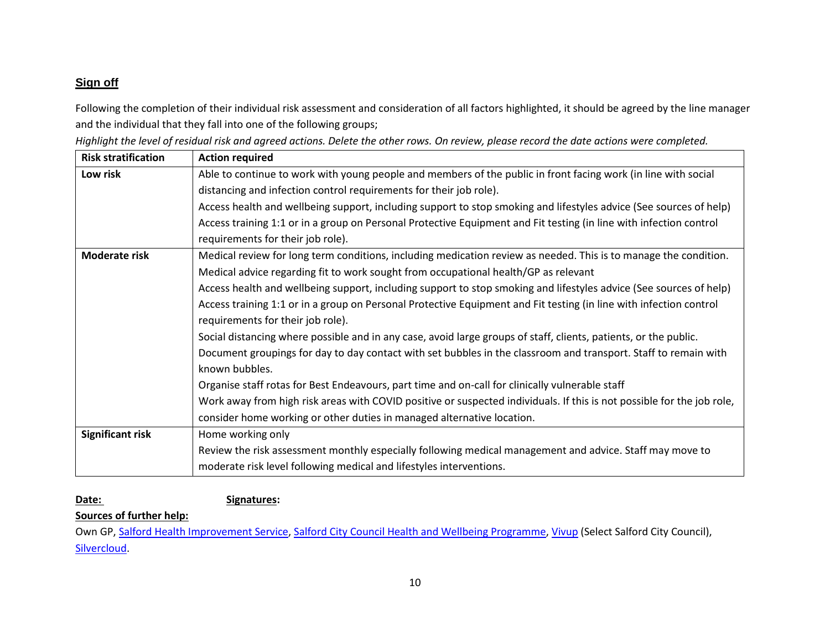# **Sign off**

Following the completion of their individual risk assessment and consideration of all factors highlighted, it should be agreed by the line manager and the individual that they fall into one of the following groups;

|  |  |  | Highlight the level of residual risk and agreed actions. Delete the other rows. On review, please record the date actions were completed. |
|--|--|--|-------------------------------------------------------------------------------------------------------------------------------------------|
|  |  |  |                                                                                                                                           |

| <b>Risk stratification</b> | <b>Action required</b>                                                                                                 |
|----------------------------|------------------------------------------------------------------------------------------------------------------------|
| Low risk                   | Able to continue to work with young people and members of the public in front facing work (in line with social         |
|                            | distancing and infection control requirements for their job role).                                                     |
|                            | Access health and wellbeing support, including support to stop smoking and lifestyles advice (See sources of help)     |
|                            | Access training 1:1 or in a group on Personal Protective Equipment and Fit testing (in line with infection control     |
|                            | requirements for their job role).                                                                                      |
| <b>Moderate risk</b>       | Medical review for long term conditions, including medication review as needed. This is to manage the condition.       |
|                            | Medical advice regarding fit to work sought from occupational health/GP as relevant                                    |
|                            | Access health and wellbeing support, including support to stop smoking and lifestyles advice (See sources of help)     |
|                            | Access training 1:1 or in a group on Personal Protective Equipment and Fit testing (in line with infection control     |
|                            | requirements for their job role).                                                                                      |
|                            | Social distancing where possible and in any case, avoid large groups of staff, clients, patients, or the public.       |
|                            | Document groupings for day to day contact with set bubbles in the classroom and transport. Staff to remain with        |
|                            | known bubbles.                                                                                                         |
|                            | Organise staff rotas for Best Endeavours, part time and on-call for clinically vulnerable staff                        |
|                            | Work away from high risk areas with COVID positive or suspected individuals. If this is not possible for the job role, |
|                            | consider home working or other duties in managed alternative location.                                                 |
| <b>Significant risk</b>    | Home working only                                                                                                      |
|                            | Review the risk assessment monthly especially following medical management and advice. Staff may move to               |
|                            | moderate risk level following medical and lifestyles interventions.                                                    |

### Date: Signatures:

#### **Sources of further help:**

Own GP, [Salford Health Improvement Service,](https://www.salford.gov.uk/health-improvement-service) [Salford City Council Health and Wellbeing Programme,](https://myzone.salford.gov.uk/people-zone/health-and-wellbeing/) [Vivup](https://www.vivup.co.uk/users/sign_up) (Select Salford City Council), [Silvercloud.](https://hub.gmhsc.org.uk/mental-health/silvercloud/)